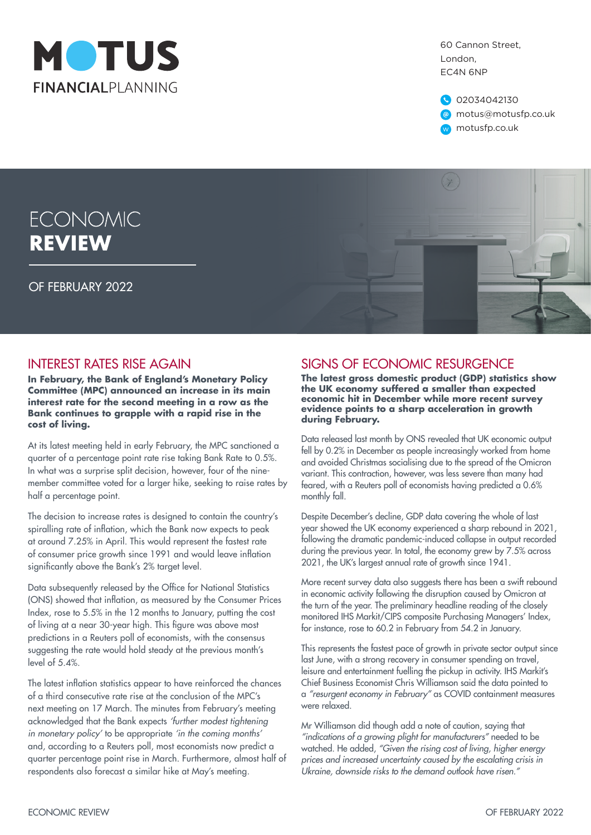

60 Cannon Street, London, EC4N 6NP

02034042130 @ motus@motusfp.co.uk w motusfp.co.uk

# **ECONOMIC REVIEW**

OF FEBRUARY 2022



 $(\gamma)$ 

## INTEREST RATES RISE AGAIN

**In February, the Bank of England's Monetary Policy Committee (MPC) announced an increase in its main interest rate for the second meeting in a row as the Bank continues to grapple with a rapid rise in the cost of living.**

At its latest meeting held in early February, the MPC sanctioned a quarter of a percentage point rate rise taking Bank Rate to 0.5%. In what was a surprise split decision, however, four of the ninemember committee voted for a larger hike, seeking to raise rates by half a percentage point.

The decision to increase rates is designed to contain the country's spiralling rate of inflation, which the Bank now expects to peak at around 7.25% in April. This would represent the fastest rate of consumer price growth since 1991 and would leave inflation significantly above the Bank's 2% target level.

Data subsequently released by the Office for National Statistics (ONS) showed that inflation, as measured by the Consumer Prices Index, rose to 5.5% in the 12 months to January, putting the cost of living at a near 30-year high. This figure was above most predictions in a Reuters poll of economists, with the consensus suggesting the rate would hold steady at the previous month's level of 5.4%.

The latest inflation statistics appear to have reinforced the chances of a third consecutive rate rise at the conclusion of the MPC's next meeting on 17 March. The minutes from February's meeting acknowledged that the Bank expects *'further modest tightening in monetary policy'* to be appropriate *'in the coming months'* and, according to a Reuters poll, most economists now predict a quarter percentage point rise in March. Furthermore, almost half of respondents also forecast a similar hike at May's meeting.

## SIGNS OF ECONOMIC RESURGENCE

**The latest gross domestic product (GDP) statistics show the UK economy suffered a smaller than expected economic hit in December while more recent survey evidence points to a sharp acceleration in growth during February.**

Data released last month by ONS revealed that UK economic output fell by 0.2% in December as people increasingly worked from home and avoided Christmas socialising due to the spread of the Omicron variant. This contraction, however, was less severe than many had feared, with a Reuters poll of economists having predicted a 0.6% monthly fall.

Despite December's decline, GDP data covering the whole of last year showed the UK economy experienced a sharp rebound in 2021, following the dramatic pandemic-induced collapse in output recorded during the previous year. In total, the economy grew by 7.5% across 2021, the UK's largest annual rate of growth since 1941.

More recent survey data also suggests there has been a swift rebound in economic activity following the disruption caused by Omicron at the turn of the year. The preliminary headline reading of the closely monitored IHS Markit/CIPS composite Purchasing Managers' Index, for instance, rose to 60.2 in February from 54.2 in January.

This represents the fastest pace of growth in private sector output since last June, with a strong recovery in consumer spending on travel, leisure and entertainment fuelling the pickup in activity. IHS Markit's Chief Business Economist Chris Williamson said the data pointed to a *"resurgent economy in February"* as COVID containment measures were relaxed.

Mr Williamson did though add a note of caution, saying that *"indications of a growing plight for manufacturers"* needed to be watched. He added, *"Given the rising cost of living, higher energy prices and increased uncertainty caused by the escalating crisis in Ukraine, downside risks to the demand outlook have risen."*